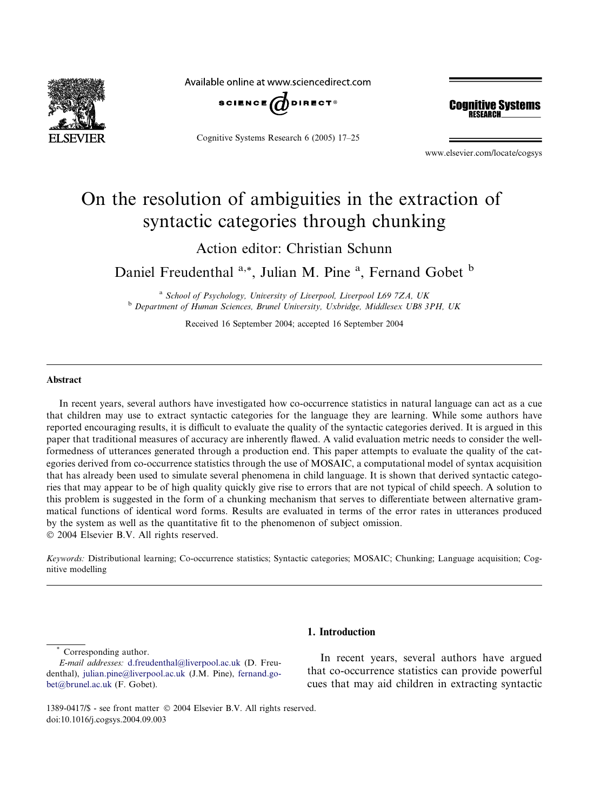

Available online at www.sciencedirect.com



Cognitive Systems Research 6 (2005) 17–25

**Counitive Systems** RFSFARCH

www.elsevier.com/locate/cogsys

# On the resolution of ambiguities in the extraction of syntactic categories through chunking

Action editor: Christian Schunn

Daniel Freudenthal <sup>a,\*</sup>, Julian M. Pine <sup>a</sup>, Fernand Gobet <sup>b</sup>

<sup>a</sup> School of Psychology, University of Liverpool, Liverpool L69 7ZA, UK b Department of Human Sciences, Brunel University, Uxbridge, Middlesex UB8 3PH, UK

Received 16 September 2004; accepted 16 September 2004

#### Abstract

In recent years, several authors have investigated how co-occurrence statistics in natural language can act as a cue that children may use to extract syntactic categories for the language they are learning. While some authors have reported encouraging results, it is difficult to evaluate the quality of the syntactic categories derived. It is argued in this paper that traditional measures of accuracy are inherently flawed. A valid evaluation metric needs to consider the wellformedness of utterances generated through a production end. This paper attempts to evaluate the quality of the categories derived from co-occurrence statistics through the use of MOSAIC, a computational model of syntax acquisition that has already been used to simulate several phenomena in child language. It is shown that derived syntactic categories that may appear to be of high quality quickly give rise to errors that are not typical of child speech. A solution to this problem is suggested in the form of a chunking mechanism that serves to differentiate between alternative grammatical functions of identical word forms. Results are evaluated in terms of the error rates in utterances produced by the system as well as the quantitative fit to the phenomenon of subject omission. 2004 Elsevier B.V. All rights reserved.

Keywords: Distributional learning; Co-occurrence statistics; Syntactic categories; MOSAIC; Chunking; Language acquisition; Cognitive modelling

Corresponding author.

# 1. Introduction

In recent years, several authors have argued that co-occurrence statistics can provide powerful cues that may aid children in extracting syntactic

E-mail addresses: [d.freudenthal@liverpool.ac.uk](mailto:d.freudenthal@liverpool.ac.uk ) (D. Freudenthal), [julian.pine@liverpool.ac.uk](mailto:julian.pine@liverpool.ac.uk ) (J.M. Pine), [fernand.go](mailto:fernand.gobet@brunel.ac.uk )[bet@brunel.ac.uk](mailto:fernand.gobet@brunel.ac.uk ) (F. Gobet).

<sup>1389-0417/\$ -</sup> see front matter © 2004 Elsevier B.V. All rights reserved. doi:10.1016/j.cogsys.2004.09.003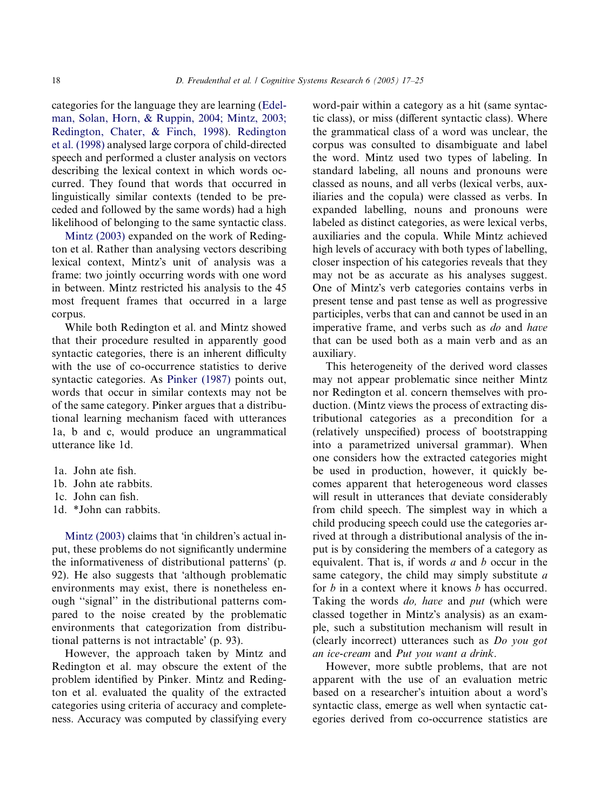categories for the language they are learning [\(Edel](#page-8-0)[man, Solan, Horn, & Ruppin, 2004; Mintz, 2003;](#page-8-0) [Redington, Chater, & Finch, 1998\)](#page-8-0). [Redington](#page-8-0) [et al. \(1998\)](#page-8-0) analysed large corpora of child-directed speech and performed a cluster analysis on vectors describing the lexical context in which words occurred. They found that words that occurred in linguistically similar contexts (tended to be preceded and followed by the same words) had a high likelihood of belonging to the same syntactic class.

[Mintz \(2003\)](#page-8-0) expanded on the work of Redington et al. Rather than analysing vectors describing lexical context, Mintz's unit of analysis was a frame: two jointly occurring words with one word in between. Mintz restricted his analysis to the 45 most frequent frames that occurred in a large corpus.

While both Redington et al. and Mintz showed that their procedure resulted in apparently good syntactic categories, there is an inherent difficulty with the use of co-occurrence statistics to derive syntactic categories. As [Pinker \(1987\)](#page-8-0) points out, words that occur in similar contexts may not be of the same category. Pinker argues that a distributional learning mechanism faced with utterances 1a, b and c, would produce an ungrammatical utterance like 1d.

- 1a. John ate fish.
- 1b. John ate rabbits.
- 1c. John can fish.
- 1d. \*John can rabbits.

Mintz  $(2003)$  claims that 'in children's actual input, these problems do not significantly undermine the informativeness of distributional patterns' (p. 92). He also suggests that 'although problematic environments may exist, there is nonetheless enough ''signal'' in the distributional patterns compared to the noise created by the problematic environments that categorization from distributional patterns is not intractable' (p. 93).

However, the approach taken by Mintz and Redington et al. may obscure the extent of the problem identified by Pinker. Mintz and Redington et al. evaluated the quality of the extracted categories using criteria of accuracy and completeness. Accuracy was computed by classifying every word-pair within a category as a hit (same syntactic class), or miss (different syntactic class). Where the grammatical class of a word was unclear, the corpus was consulted to disambiguate and label the word. Mintz used two types of labeling. In standard labeling, all nouns and pronouns were classed as nouns, and all verbs (lexical verbs, auxiliaries and the copula) were classed as verbs. In expanded labelling, nouns and pronouns were labeled as distinct categories, as were lexical verbs, auxiliaries and the copula. While Mintz achieved high levels of accuracy with both types of labelling, closer inspection of his categories reveals that they may not be as accurate as his analyses suggest. One of Mintz's verb categories contains verbs in present tense and past tense as well as progressive participles, verbs that can and cannot be used in an imperative frame, and verbs such as do and have that can be used both as a main verb and as an auxiliary.

This heterogeneity of the derived word classes may not appear problematic since neither Mintz nor Redington et al. concern themselves with production. (Mintz views the process of extracting distributional categories as a precondition for a (relatively unspecified) process of bootstrapping into a parametrized universal grammar). When one considers how the extracted categories might be used in production, however, it quickly becomes apparent that heterogeneous word classes will result in utterances that deviate considerably from child speech. The simplest way in which a child producing speech could use the categories arrived at through a distributional analysis of the input is by considering the members of a category as equivalent. That is, if words  $a$  and  $b$  occur in the same category, the child may simply substitute a for  $b$  in a context where it knows  $b$  has occurred. Taking the words *do*, have and *put* (which were classed together in Mintz's analysis) as an example, such a substitution mechanism will result in (clearly incorrect) utterances such as Do you got an ice-cream and Put you want a drink.

However, more subtle problems, that are not apparent with the use of an evaluation metric based on a researcher's intuition about a word's syntactic class, emerge as well when syntactic categories derived from co-occurrence statistics are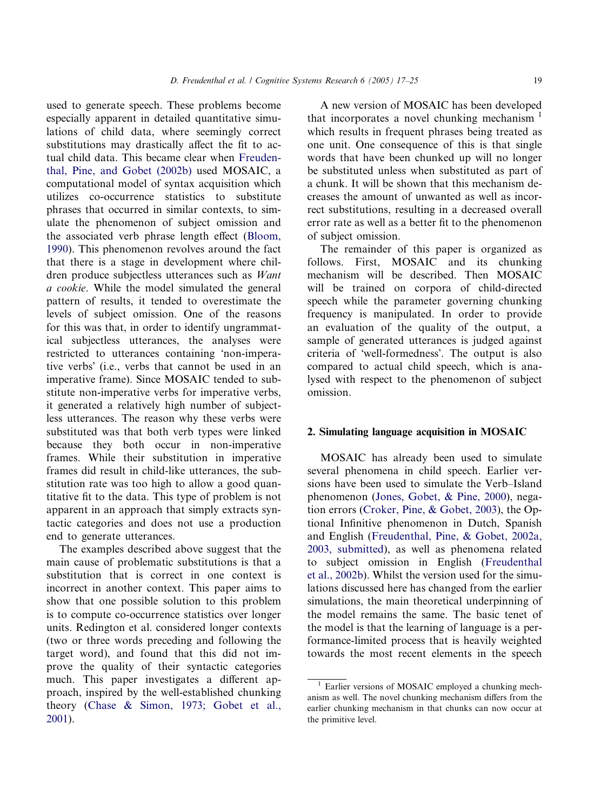D. Freudenthal et al. / Cognitive Systems Research 6 (2005) 17–25 19

used to generate speech. These problems become especially apparent in detailed quantitative simulations of child data, where seemingly correct substitutions may drastically affect the fit to actual child data. This became clear when [Freuden](#page-8-0)[thal, Pine, and Gobet \(2002b\)](#page-8-0) used MOSAIC, a computational model of syntax acquisition which utilizes co-occurrence statistics to substitute phrases that occurred in similar contexts, to simulate the phenomenon of subject omission and the associated verb phrase length effect [\(Bloom,](#page-8-0) [1990](#page-8-0)). This phenomenon revolves around the fact that there is a stage in development where children produce subjectless utterances such as Want a cookie. While the model simulated the general pattern of results, it tended to overestimate the levels of subject omission. One of the reasons for this was that, in order to identify ungrammatical subjectless utterances, the analyses were restricted to utterances containing 'non-imperative verbs (i.e., verbs that cannot be used in an imperative frame). Since MOSAIC tended to substitute non-imperative verbs for imperative verbs, it generated a relatively high number of subjectless utterances. The reason why these verbs were substituted was that both verb types were linked because they both occur in non-imperative frames. While their substitution in imperative frames did result in child-like utterances, the substitution rate was too high to allow a good quantitative fit to the data. This type of problem is not apparent in an approach that simply extracts syntactic categories and does not use a production end to generate utterances.

The examples described above suggest that the main cause of problematic substitutions is that a substitution that is correct in one context is incorrect in another context. This paper aims to show that one possible solution to this problem is to compute co-occurrence statistics over longer units. Redington et al. considered longer contexts (two or three words preceding and following the target word), and found that this did not improve the quality of their syntactic categories much. This paper investigates a different approach, inspired by the well-established chunking theory ([Chase & Simon, 1973; Gobet et al.,](#page-8-0) [2001](#page-8-0)).

A new version of MOSAIC has been developed that incorporates a novel chunking mechanism  $<sup>1</sup>$ </sup> which results in frequent phrases being treated as one unit. One consequence of this is that single words that have been chunked up will no longer be substituted unless when substituted as part of a chunk. It will be shown that this mechanism decreases the amount of unwanted as well as incorrect substitutions, resulting in a decreased overall error rate as well as a better fit to the phenomenon of subject omission.

The remainder of this paper is organized as follows. First, MOSAIC and its chunking mechanism will be described. Then MOSAIC will be trained on corpora of child-directed speech while the parameter governing chunking frequency is manipulated. In order to provide an evaluation of the quality of the output, a sample of generated utterances is judged against criteria of 'well-formedness'. The output is also compared to actual child speech, which is analysed with respect to the phenomenon of subject omission.

#### 2. Simulating language acquisition in MOSAIC

MOSAIC has already been used to simulate several phenomena in child speech. Earlier versions have been used to simulate the Verb–Island phenomenon [\(Jones, Gobet, & Pine, 2000\)](#page-8-0), negation errors ([Croker, Pine, & Gobet, 2003](#page-8-0)), the Optional Infinitive phenomenon in Dutch, Spanish and English [\(Freudenthal, Pine, & Gobet, 2002a,](#page-8-0) [2003, submitted\)](#page-8-0), as well as phenomena related to subject omission in English ([Freudenthal](#page-8-0) [et al., 2002b\)](#page-8-0). Whilst the version used for the simulations discussed here has changed from the earlier simulations, the main theoretical underpinning of the model remains the same. The basic tenet of the model is that the learning of language is a performance-limited process that is heavily weighted towards the most recent elements in the speech

<sup>&</sup>lt;sup>1</sup> Earlier versions of MOSAIC employed a chunking mechanism as well. The novel chunking mechanism differs from the earlier chunking mechanism in that chunks can now occur at the primitive level.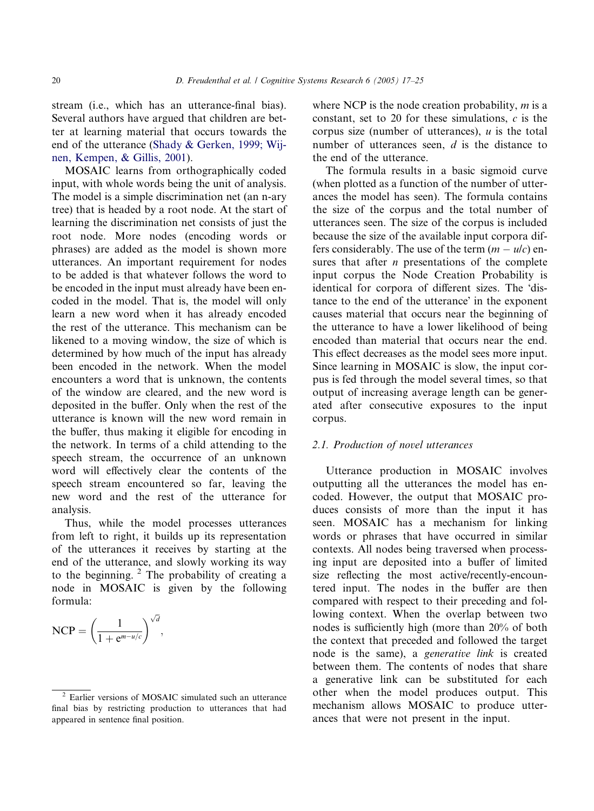stream (i.e., which has an utterance-final bias). Several authors have argued that children are better at learning material that occurs towards the end of the utterance [\(Shady & Gerken, 1999; Wij](#page-8-0)[nen, Kempen, & Gillis, 2001\)](#page-8-0).

MOSAIC learns from orthographically coded input, with whole words being the unit of analysis. The model is a simple discrimination net (an n-ary tree) that is headed by a root node. At the start of learning the discrimination net consists of just the root node. More nodes (encoding words or phrases) are added as the model is shown more utterances. An important requirement for nodes to be added is that whatever follows the word to be encoded in the input must already have been encoded in the model. That is, the model will only learn a new word when it has already encoded the rest of the utterance. This mechanism can be likened to a moving window, the size of which is determined by how much of the input has already been encoded in the network. When the model encounters a word that is unknown, the contents of the window are cleared, and the new word is deposited in the buffer. Only when the rest of the utterance is known will the new word remain in the buffer, thus making it eligible for encoding in the network. In terms of a child attending to the speech stream, the occurrence of an unknown word will effectively clear the contents of the speech stream encountered so far, leaving the new word and the rest of the utterance for analysis.

Thus, while the model processes utterances from left to right, it builds up its representation of the utterances it receives by starting at the end of the utterance, and slowly working its way to the beginning.  $2$  The probability of creating a node in MOSAIC is given by the following formula:

$$
NCP = \left(\frac{1}{1 + e^{m - u/c}}\right)^{\sqrt{d}},
$$

where NCP is the node creation probability,  $m$  is a constant, set to 20 for these simulations,  $c$  is the corpus size (number of utterances),  $u$  is the total number of utterances seen,  $d$  is the distance to the end of the utterance.

The formula results in a basic sigmoid curve (when plotted as a function of the number of utterances the model has seen). The formula contains the size of the corpus and the total number of utterances seen. The size of the corpus is included because the size of the available input corpora differs considerably. The use of the term  $(m - u/c)$  ensures that after  $n$  presentations of the complete input corpus the Node Creation Probability is identical for corpora of different sizes. The 'distance to the end of the utterance' in the exponent causes material that occurs near the beginning of the utterance to have a lower likelihood of being encoded than material that occurs near the end. This effect decreases as the model sees more input. Since learning in MOSAIC is slow, the input corpus is fed through the model several times, so that output of increasing average length can be generated after consecutive exposures to the input corpus.

#### 2.1. Production of novel utterances

Utterance production in MOSAIC involves outputting all the utterances the model has encoded. However, the output that MOSAIC produces consists of more than the input it has seen. MOSAIC has a mechanism for linking words or phrases that have occurred in similar contexts. All nodes being traversed when processing input are deposited into a buffer of limited size reflecting the most active/recently-encountered input. The nodes in the buffer are then compared with respect to their preceding and following context. When the overlap between two nodes is sufficiently high (more than 20% of both the context that preceded and followed the target node is the same), a generative link is created between them. The contents of nodes that share a generative link can be substituted for each other when the model produces output. This mechanism allows MOSAIC to produce utterances that were not present in the input.

<sup>2</sup> Earlier versions of MOSAIC simulated such an utterance final bias by restricting production to utterances that had appeared in sentence final position.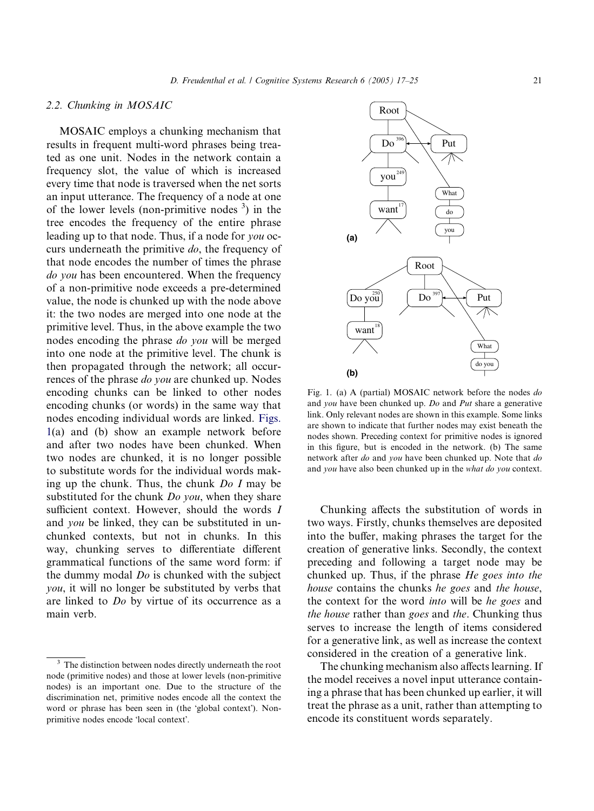#### 2.2. Chunking in MOSAIC

MOSAIC employs a chunking mechanism that results in frequent multi-word phrases being treated as one unit. Nodes in the network contain a frequency slot, the value of which is increased every time that node is traversed when the net sorts an input utterance. The frequency of a node at one of the lower levels (non-primitive nodes  $3$ ) in the tree encodes the frequency of the entire phrase leading up to that node. Thus, if a node for you occurs underneath the primitive do, the frequency of that node encodes the number of times the phrase do you has been encountered. When the frequency of a non-primitive node exceeds a pre-determined value, the node is chunked up with the node above it: the two nodes are merged into one node at the primitive level. Thus, in the above example the two nodes encoding the phrase do you will be merged into one node at the primitive level. The chunk is then propagated through the network; all occurrences of the phrase do you are chunked up. Nodes encoding chunks can be linked to other nodes encoding chunks (or words) in the same way that nodes encoding individual words are linked. Figs. 1(a) and (b) show an example network before and after two nodes have been chunked. When two nodes are chunked, it is no longer possible to substitute words for the individual words making up the chunk. Thus, the chunk  $Do I$  may be substituted for the chunk *Do you*, when they share sufficient context. However, should the words I and you be linked, they can be substituted in unchunked contexts, but not in chunks. In this way, chunking serves to differentiate different grammatical functions of the same word form: if the dummy modal  $Do$  is chunked with the subject you, it will no longer be substituted by verbs that are linked to Do by virtue of its occurrence as a main verb.



Fig. 1. (a) A (partial) MOSAIC network before the nodes do and you have been chunked up. Do and Put share a generative link. Only relevant nodes are shown in this example. Some links are shown to indicate that further nodes may exist beneath the nodes shown. Preceding context for primitive nodes is ignored in this figure, but is encoded in the network. (b) The same network after do and you have been chunked up. Note that do and you have also been chunked up in the what do you context.

Chunking affects the substitution of words in two ways. Firstly, chunks themselves are deposited into the buffer, making phrases the target for the creation of generative links. Secondly, the context preceding and following a target node may be chunked up. Thus, if the phrase He goes into the house contains the chunks he goes and the house, the context for the word into will be he goes and the house rather than goes and the. Chunking thus serves to increase the length of items considered for a generative link, as well as increase the context considered in the creation of a generative link.

The chunking mechanism also affects learning. If the model receives a novel input utterance containing a phrase that has been chunked up earlier, it will treat the phrase as a unit, rather than attempting to encode its constituent words separately.

<sup>&</sup>lt;sup>3</sup> The distinction between nodes directly underneath the root node (primitive nodes) and those at lower levels (non-primitive nodes) is an important one. Due to the structure of the discrimination net, primitive nodes encode all the context the word or phrase has been seen in (the 'global context'). Nonprimitive nodes encode 'local context'.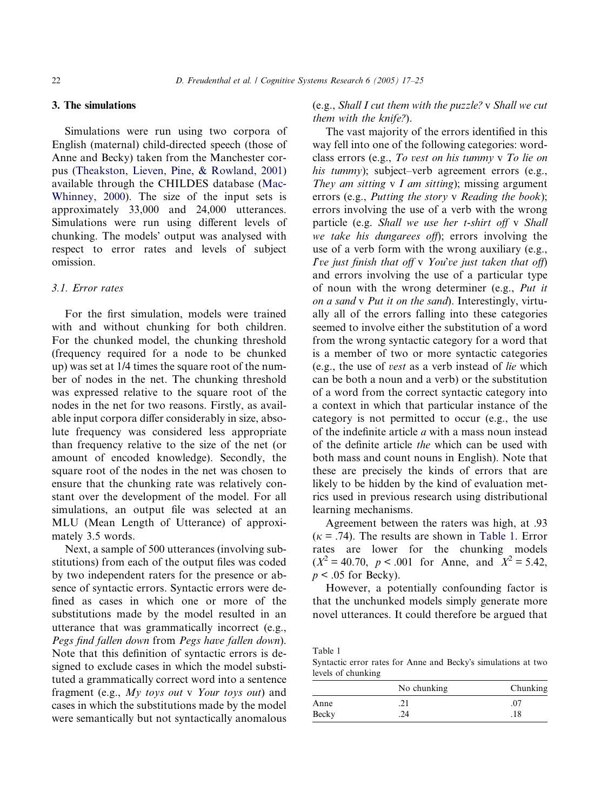#### 3. The simulations

Simulations were run using two corpora of English (maternal) child-directed speech (those of Anne and Becky) taken from the Manchester corpus ([Theakston, Lieven, Pine, & Rowland, 2001](#page-8-0)) available through the CHILDES database [\(Mac-](#page-8-0)[Whinney, 2000\)](#page-8-0). The size of the input sets is approximately 33,000 and 24,000 utterances. Simulations were run using different levels of chunking. The models' output was analysed with respect to error rates and levels of subject omission.

### 3.1. Error rates

For the first simulation, models were trained with and without chunking for both children. For the chunked model, the chunking threshold (frequency required for a node to be chunked up) was set at 1/4 times the square root of the number of nodes in the net. The chunking threshold was expressed relative to the square root of the nodes in the net for two reasons. Firstly, as available input corpora differ considerably in size, absolute frequency was considered less appropriate than frequency relative to the size of the net (or amount of encoded knowledge). Secondly, the square root of the nodes in the net was chosen to ensure that the chunking rate was relatively constant over the development of the model. For all simulations, an output file was selected at an MLU (Mean Length of Utterance) of approximately 3.5 words.

Next, a sample of 500 utterances (involving substitutions) from each of the output files was coded by two independent raters for the presence or absence of syntactic errors. Syntactic errors were defined as cases in which one or more of the substitutions made by the model resulted in an utterance that was grammatically incorrect (e.g., Pegs find fallen down from Pegs have fallen down). Note that this definition of syntactic errors is designed to exclude cases in which the model substituted a grammatically correct word into a sentence fragment (e.g., My toys out v Your toys out) and cases in which the substitutions made by the model were semantically but not syntactically anomalous

(e.g., Shall I cut them with the puzzle? v Shall we cut them with the knife?).

The vast majority of the errors identified in this way fell into one of the following categories: wordclass errors (e.g., To vest on his tummy v To lie on his tummy); subject–verb agreement errors (e.g., They am sitting  $V I$  am sitting); missing argument errors (e.g., Putting the story v Reading the book); errors involving the use of a verb with the wrong particle (e.g. Shall we use her t-shirt off v Shall we take his dungarees off); errors involving the use of a verb form with the wrong auxiliary (e.g., Ive just finish that off  $v$  You've just taken that off) and errors involving the use of a particular type of noun with the wrong determiner (e.g., Put it on a sand v Put it on the sand). Interestingly, virtually all of the errors falling into these categories seemed to involve either the substitution of a word from the wrong syntactic category for a word that is a member of two or more syntactic categories (e.g., the use of vest as a verb instead of lie which can be both a noun and a verb) or the substitution of a word from the correct syntactic category into a context in which that particular instance of the category is not permitted to occur (e.g., the use of the indefinite article  $a$  with a mass noun instead of the definite article the which can be used with both mass and count nouns in English). Note that these are precisely the kinds of errors that are likely to be hidden by the kind of evaluation metrics used in previous research using distributional learning mechanisms.

Agreement between the raters was high, at .93  $(k = .74)$ . The results are shown in Table 1. Error rates are lower for the chunking models  $(X^2 = 40.70, p < .001$  for Anne, and  $X^2 = 5.42$ ,  $p < .05$  for Becky).

However, a potentially confounding factor is that the unchunked models simply generate more novel utterances. It could therefore be argued that

Table 1

Syntactic error rates for Anne and Beckys simulations at two levels of chunking

|       | No chunking       | Chunking |
|-------|-------------------|----------|
| Anne  | $\mathcal{L}_{1}$ | .07      |
| Becky | $\gamma_{A}$      | .18      |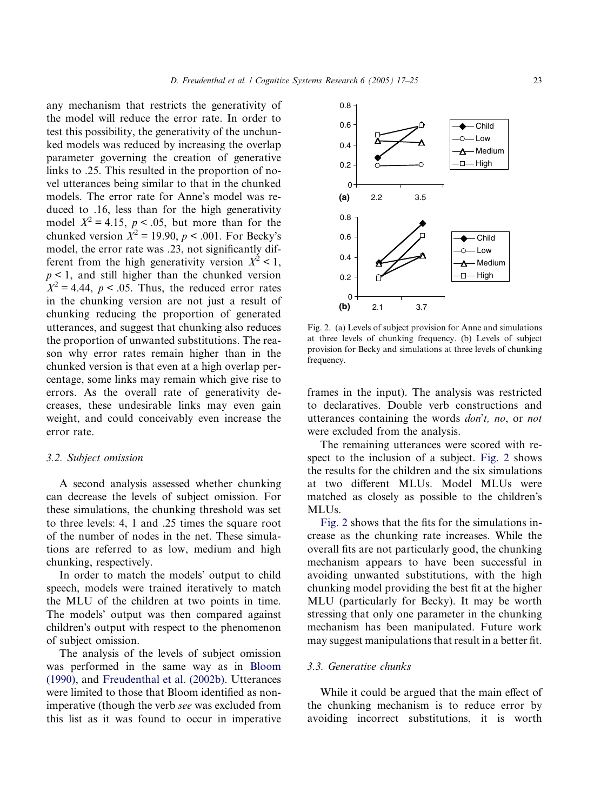any mechanism that restricts the generativity of the model will reduce the error rate. In order to test this possibility, the generativity of the unchunked models was reduced by increasing the overlap parameter governing the creation of generative links to .25. This resulted in the proportion of novel utterances being similar to that in the chunked models. The error rate for Anne's model was reduced to .16, less than for the high generativity model  $X^2 = 4.15$ ,  $p < .05$ , but more than for the chunked version  $X^2 = 19.90$ ,  $p < .001$ . For Becky's model, the error rate was .23, not significantly different from the high generativity version  $X^2$  < 1,  $p < 1$ , and still higher than the chunked version  $X^2 = 4.44$ ,  $p < .05$ . Thus, the reduced error rates in the chunking version are not just a result of chunking reducing the proportion of generated utterances, and suggest that chunking also reduces the proportion of unwanted substitutions. The reason why error rates remain higher than in the chunked version is that even at a high overlap percentage, some links may remain which give rise to errors. As the overall rate of generativity decreases, these undesirable links may even gain weight, and could conceivably even increase the error rate.

#### 3.2. Subject omission

A second analysis assessed whether chunking can decrease the levels of subject omission. For these simulations, the chunking threshold was set to three levels: 4, 1 and .25 times the square root of the number of nodes in the net. These simulations are referred to as low, medium and high chunking, respectively.

In order to match the models' output to child speech, models were trained iteratively to match the MLU of the children at two points in time. The models' output was then compared against children's output with respect to the phenomenon of subject omission.

The analysis of the levels of subject omission was performed in the same way as in [Bloom](#page-8-0) [\(1990\)](#page-8-0), and [Freudenthal et al. \(2002b\).](#page-8-0) Utterances were limited to those that Bloom identified as nonimperative (though the verb see was excluded from this list as it was found to occur in imperative



Fig. 2. (a) Levels of subject provision for Anne and simulations at three levels of chunking frequency. (b) Levels of subject provision for Becky and simulations at three levels of chunking frequency.

frames in the input). The analysis was restricted to declaratives. Double verb constructions and utterances containing the words  $don't$ , no, or not were excluded from the analysis.

The remaining utterances were scored with respect to the inclusion of a subject. Fig. 2 shows the results for the children and the six simulations at two different MLUs. Model MLUs were matched as closely as possible to the children's MLUs.

Fig. 2 shows that the fits for the simulations increase as the chunking rate increases. While the overall fits are not particularly good, the chunking mechanism appears to have been successful in avoiding unwanted substitutions, with the high chunking model providing the best fit at the higher MLU (particularly for Becky). It may be worth stressing that only one parameter in the chunking mechanism has been manipulated. Future work may suggest manipulations that result in a better fit.

#### 3.3. Generative chunks

While it could be argued that the main effect of the chunking mechanism is to reduce error by avoiding incorrect substitutions, it is worth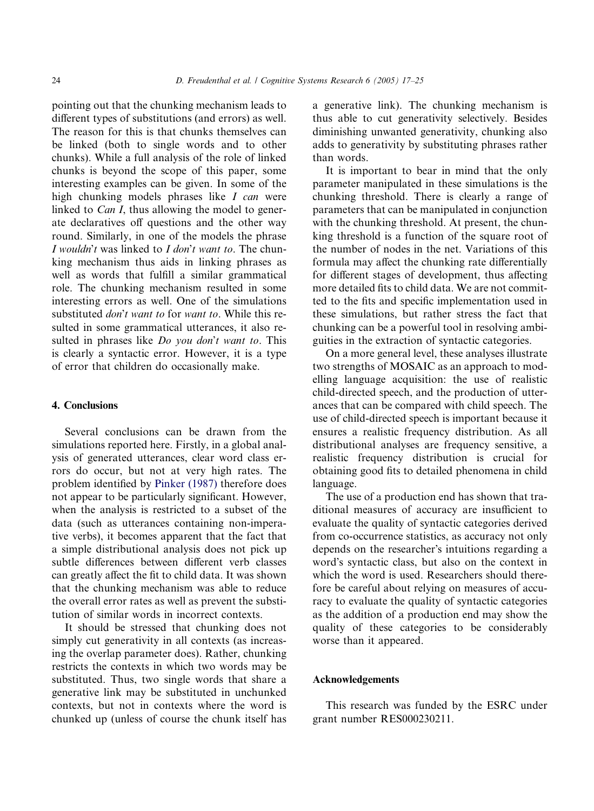pointing out that the chunking mechanism leads to different types of substitutions (and errors) as well. The reason for this is that chunks themselves can be linked (both to single words and to other chunks). While a full analysis of the role of linked chunks is beyond the scope of this paper, some interesting examples can be given. In some of the high chunking models phrases like  $I$  can were linked to *Can I*, thus allowing the model to generate declaratives off questions and the other way round. Similarly, in one of the models the phrase I wouldn't was linked to I don't want to. The chunking mechanism thus aids in linking phrases as well as words that fulfill a similar grammatical role. The chunking mechanism resulted in some interesting errors as well. One of the simulations substituted *don't want to* for want to. While this resulted in some grammatical utterances, it also resulted in phrases like  $Do$  you don't want to. This is clearly a syntactic error. However, it is a type of error that children do occasionally make.

#### 4. Conclusions

Several conclusions can be drawn from the simulations reported here. Firstly, in a global analysis of generated utterances, clear word class errors do occur, but not at very high rates. The problem identified by [Pinker \(1987\)](#page-8-0) therefore does not appear to be particularly significant. However, when the analysis is restricted to a subset of the data (such as utterances containing non-imperative verbs), it becomes apparent that the fact that a simple distributional analysis does not pick up subtle differences between different verb classes can greatly affect the fit to child data. It was shown that the chunking mechanism was able to reduce the overall error rates as well as prevent the substitution of similar words in incorrect contexts.

It should be stressed that chunking does not simply cut generativity in all contexts (as increasing the overlap parameter does). Rather, chunking restricts the contexts in which two words may be substituted. Thus, two single words that share a generative link may be substituted in unchunked contexts, but not in contexts where the word is chunked up (unless of course the chunk itself has a generative link). The chunking mechanism is thus able to cut generativity selectively. Besides diminishing unwanted generativity, chunking also adds to generativity by substituting phrases rather than words.

It is important to bear in mind that the only parameter manipulated in these simulations is the chunking threshold. There is clearly a range of parameters that can be manipulated in conjunction with the chunking threshold. At present, the chunking threshold is a function of the square root of the number of nodes in the net. Variations of this formula may affect the chunking rate differentially for different stages of development, thus affecting more detailed fits to child data. We are not committed to the fits and specific implementation used in these simulations, but rather stress the fact that chunking can be a powerful tool in resolving ambiguities in the extraction of syntactic categories.

On a more general level, these analyses illustrate two strengths of MOSAIC as an approach to modelling language acquisition: the use of realistic child-directed speech, and the production of utterances that can be compared with child speech. The use of child-directed speech is important because it ensures a realistic frequency distribution. As all distributional analyses are frequency sensitive, a realistic frequency distribution is crucial for obtaining good fits to detailed phenomena in child language.

The use of a production end has shown that traditional measures of accuracy are insufficient to evaluate the quality of syntactic categories derived from co-occurrence statistics, as accuracy not only depends on the researcher's intuitions regarding a word's syntactic class, but also on the context in which the word is used. Researchers should therefore be careful about relying on measures of accuracy to evaluate the quality of syntactic categories as the addition of a production end may show the quality of these categories to be considerably worse than it appeared.

## Acknowledgements

This research was funded by the ESRC under grant number RES000230211.